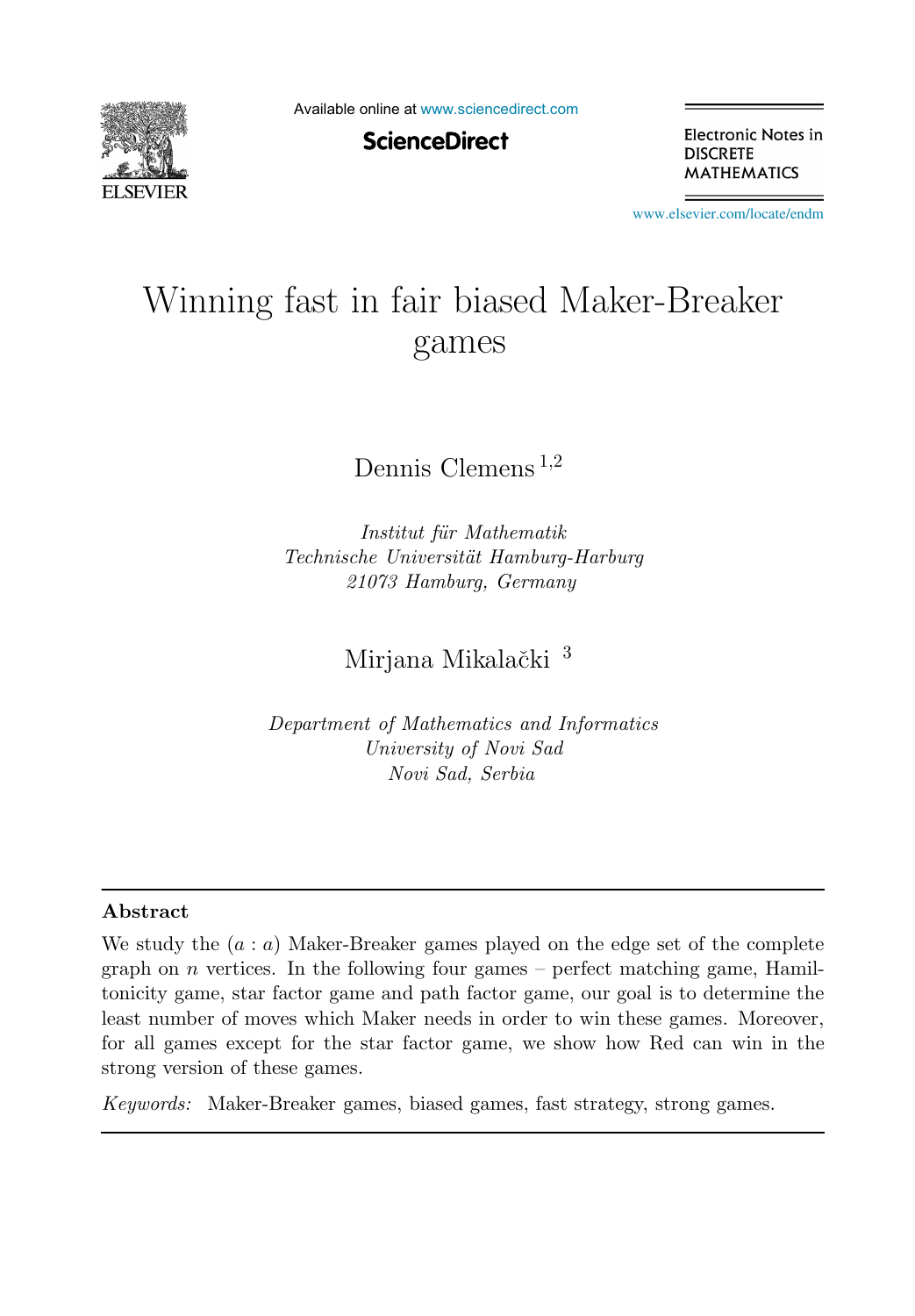

Available online at [www.sciencedirect.com](http://www.sciencedirect.com)

**ScienceDirect** 

Electronic Notes in **DISCRETE MATHEMATICS** 

[www.elsevier.com/locate/endm](http://www.elsevier.com/locate/endm)

# Winning fast in fair biased Maker-Breaker games

Dennis Clemens <sup>1</sup>,<sup>2</sup>

Institut für Mathematik Technische Universität Hamburg-Harburg 21073 Hamburg, Germany

Mirjana Mikalački<sup>3</sup>

Department of Mathematics and Informatics University of Novi Sad Novi Sad, Serbia

#### **Abstract**

We study the  $(a : a)$  Maker-Breaker games played on the edge set of the complete graph on  $n$  vertices. In the following four games – perfect matching game, Hamiltonicity game, star factor game and path factor game, our goal is to determine the least number of moves which Maker needs in order to win these games. Moreover, for all games except for the star factor game, we show how Red can win in the strong version of these games.

Keywords: Maker-Breaker games, biased games, fast strategy, strong games.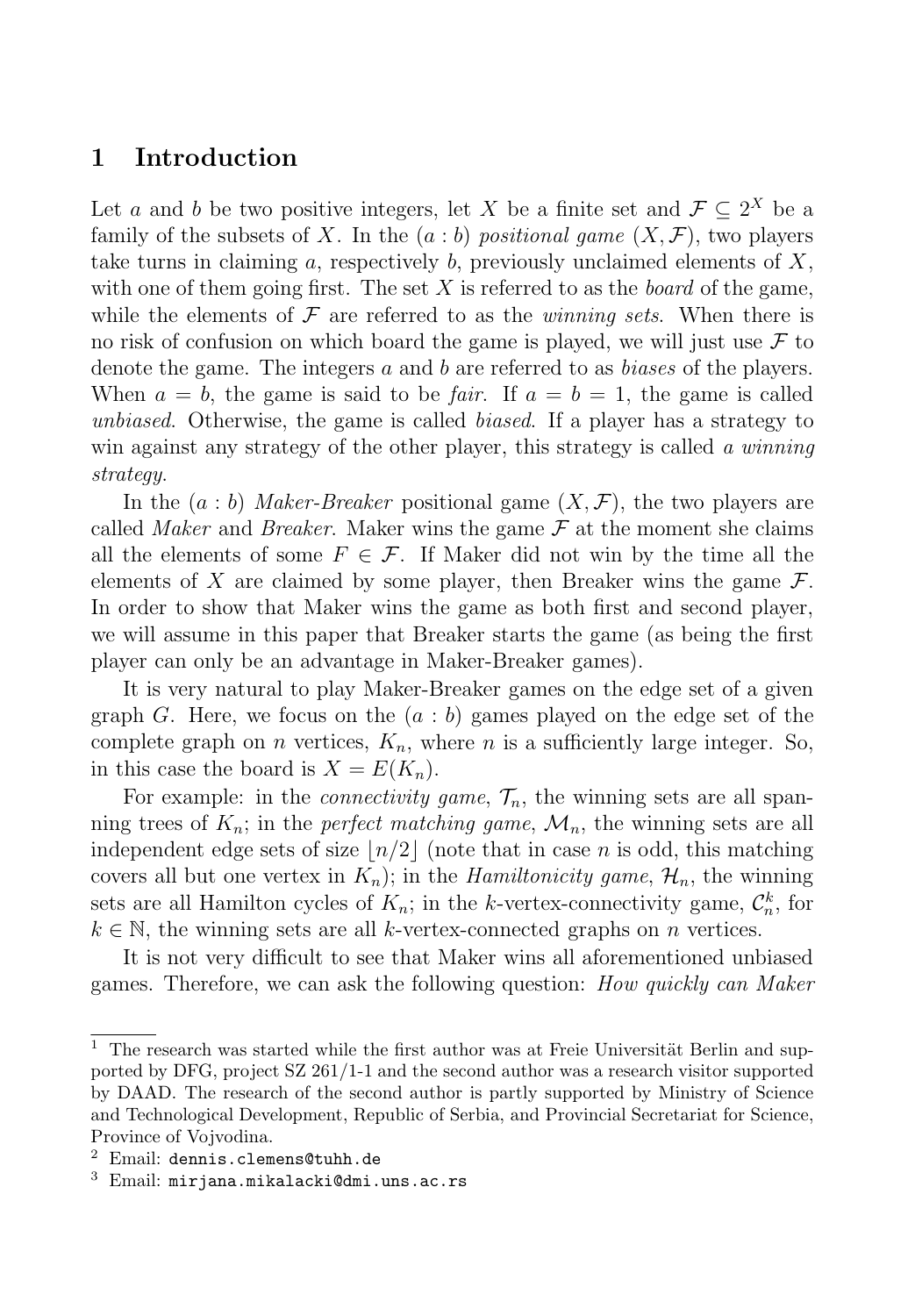## **1 Introduction**

Let a and b be two positive integers, let X be a finite set and  $\mathcal{F} \subset 2^X$  be a family of the subsets of X. In the  $(a:b)$  positional game  $(X,\mathcal{F})$ , two players take turns in claiming a, respectively b, previously unclaimed elements of  $X$ . with one of them going first. The set  $X$  is referred to as the *board* of the game, while the elements of  $\mathcal F$  are referred to as the *winning sets*. When there is no risk of confusion on which board the game is played, we will just use  $\mathcal F$  to denote the game. The integers a and b are referred to as biases of the players. When  $a = b$ , the game is said to be *fair*. If  $a = b = 1$ , the game is called unbiased. Otherwise, the game is called biased. If a player has a strategy to win against any strategy of the other player, this strategy is called a winning strategy.

In the  $(a:b)$  Maker-Breaker positional game  $(X,\mathcal{F})$ , the two players are called Maker and Breaker. Maker wins the game  $\mathcal F$  at the moment she claims all the elements of some  $F \in \mathcal{F}$ . If Maker did not win by the time all the elements of X are claimed by some player, then Breaker wins the game  $\mathcal{F}$ . In order to show that Maker wins the game as both first and second player, we will assume in this paper that Breaker starts the game (as being the first player can only be an advantage in Maker-Breaker games).

It is very natural to play Maker-Breaker games on the edge set of a given graph G. Here, we focus on the  $(a : b)$  games played on the edge set of the complete graph on *n* vertices,  $K_n$ , where *n* is a sufficiently large integer. So, in this case the board is  $X = E(K_n)$ .

For example: in the *connectivity game*,  $\mathcal{T}_n$ , the winning sets are all spanning trees of  $K_n$ ; in the *perfect matching game*,  $\mathcal{M}_n$ , the winning sets are all independent edge sets of size  $n/2$  (note that in case n is odd, this matching covers all but one vertex in  $K_n$ ; in the *Hamiltonicity game*,  $\mathcal{H}_n$ , the winning sets are all Hamilton cycles of  $K_n$ ; in the k-vertex-connectivity game,  $\mathcal{C}_n^k$ , for  $k \in \mathbb{N}$ , the winning sets are all k-vertex-connected graphs on n vertices.

It is not very difficult to see that Maker wins all aforementioned unbiased games. Therefore, we can ask the following question: How quickly can Maker

 $1$  The research was started while the first author was at Freie Universität Berlin and supported by DFG, project SZ 261/1-1 and the second author was a research visitor supported by DAAD. The research of the second author is partly supported by Ministry of Science and Technological Development, Republic of Serbia, and Provincial Secretariat for Science, Province of Vojvodina.

 $2$  Email: dennis.clemens@tuhh.de

<sup>3</sup> Email: mirjana.mikalacki@dmi.uns.ac.rs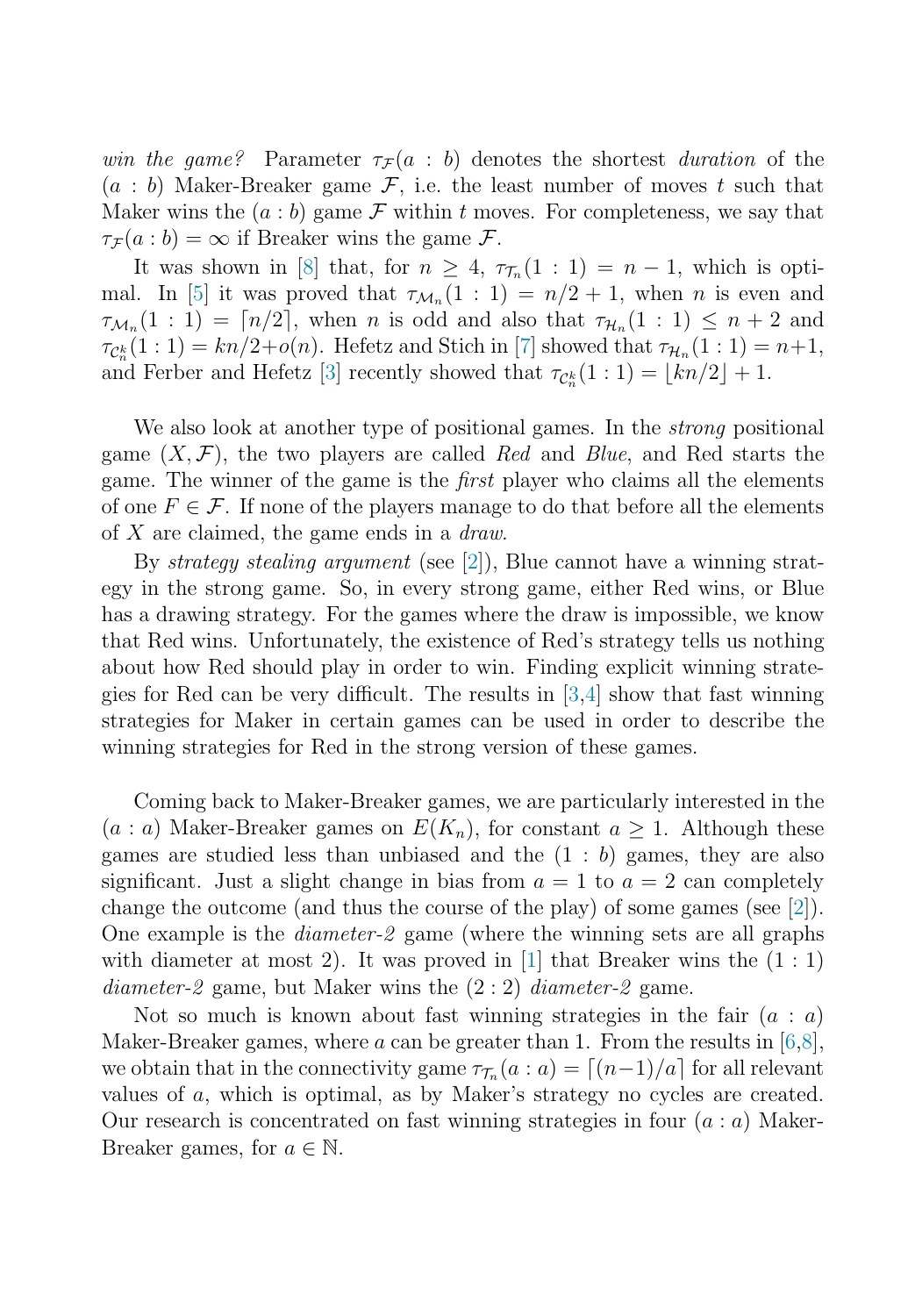win the game? Parameter  $\tau_F(a : b)$  denotes the shortest duration of the  $(a : b)$  Maker-Breaker game  $\mathcal{F}$ , i.e. the least number of moves t such that Maker wins the  $(a : b)$  game  $\mathcal F$  within t moves. For completeness, we say that  $\tau_{\mathcal{F}}(a:b) = \infty$  if Breaker wins the game  $\mathcal{F}$ .

It was shown in [\[8\]](#page-5-0) that, for  $n \geq 4$ ,  $\tau_{\tau_n}(1:1) = n-1$ , which is opti-mal. In [\[5\]](#page-5-0) it was proved that  $\tau_{\mathcal{M}_n}(1:1) = n/2 + 1$ , when n is even and  $\tau_{\mathcal{M}_n}(1:1) = \lceil n/2 \rceil$ , when n is odd and also that  $\tau_{\mathcal{H}_n}(1:1) \leq n+2$  and  $\tau_{\mathcal{C}_n^k}(1:1) = kn/2+o(n)$ . Hefetz and Stich in [\[7\]](#page-5-0) showed that  $\tau_{\mathcal{H}_n}(1:1) = n+1$ , and Ferber and Hefetz [\[3\]](#page-5-0) recently showed that  $\tau_{\mathcal{C}_n^k}(1:1) = \lfloor kn/2 \rfloor + 1$ .

We also look at another type of positional games. In the *strong* positional game  $(X, \mathcal{F})$ , the two players are called Red and Blue, and Red starts the game. The winner of the game is the first player who claims all the elements of one  $F \in \mathcal{F}$ . If none of the players manage to do that before all the elements of  $X$  are claimed, the game ends in a *draw*.

By strategy stealing argument (see [\[2\]](#page-5-0)), Blue cannot have a winning strategy in the strong game. So, in every strong game, either Red wins, or Blue has a drawing strategy. For the games where the draw is impossible, we know that Red wins. Unfortunately, the existence of Red's strategy tells us nothing about how Red should play in order to win. Finding explicit winning strategies for Red can be very difficult. The results in [\[3,4\]](#page-5-0) show that fast winning strategies for Maker in certain games can be used in order to describe the winning strategies for Red in the strong version of these games.

Coming back to Maker-Breaker games, we are particularly interested in the  $(a : a)$  Maker-Breaker games on  $E(K_n)$ , for constant  $a \geq 1$ . Although these games are studied less than unbiased and the  $(1 : b)$  games, they are also significant. Just a slight change in bias from  $a = 1$  to  $a = 2$  can completely change the outcome (and thus the course of the play) of some games (see [\[2\]](#page-5-0)). One example is the diameter-2 game (where the winning sets are all graphs with diameter at most 2). It was proved in  $[1]$  that Breaker wins the  $(1:1)$ *diameter-2* game, but Maker wins the  $(2:2)$  *diameter-2* game.

Not so much is known about fast winning strategies in the fair  $(a : a)$ Maker-Breaker games, where a can be greater than 1. From the results in  $[6,8]$ , we obtain that in the connectivity game  $\tau_{\mathcal{T}_n}(a : a) = \lceil (n-1)/a \rceil$  for all relevant values of a, which is optimal, as by Maker's strategy no cycles are created. Our research is concentrated on fast winning strategies in four  $(a : a)$  Maker-Breaker games, for  $a \in \mathbb{N}$ .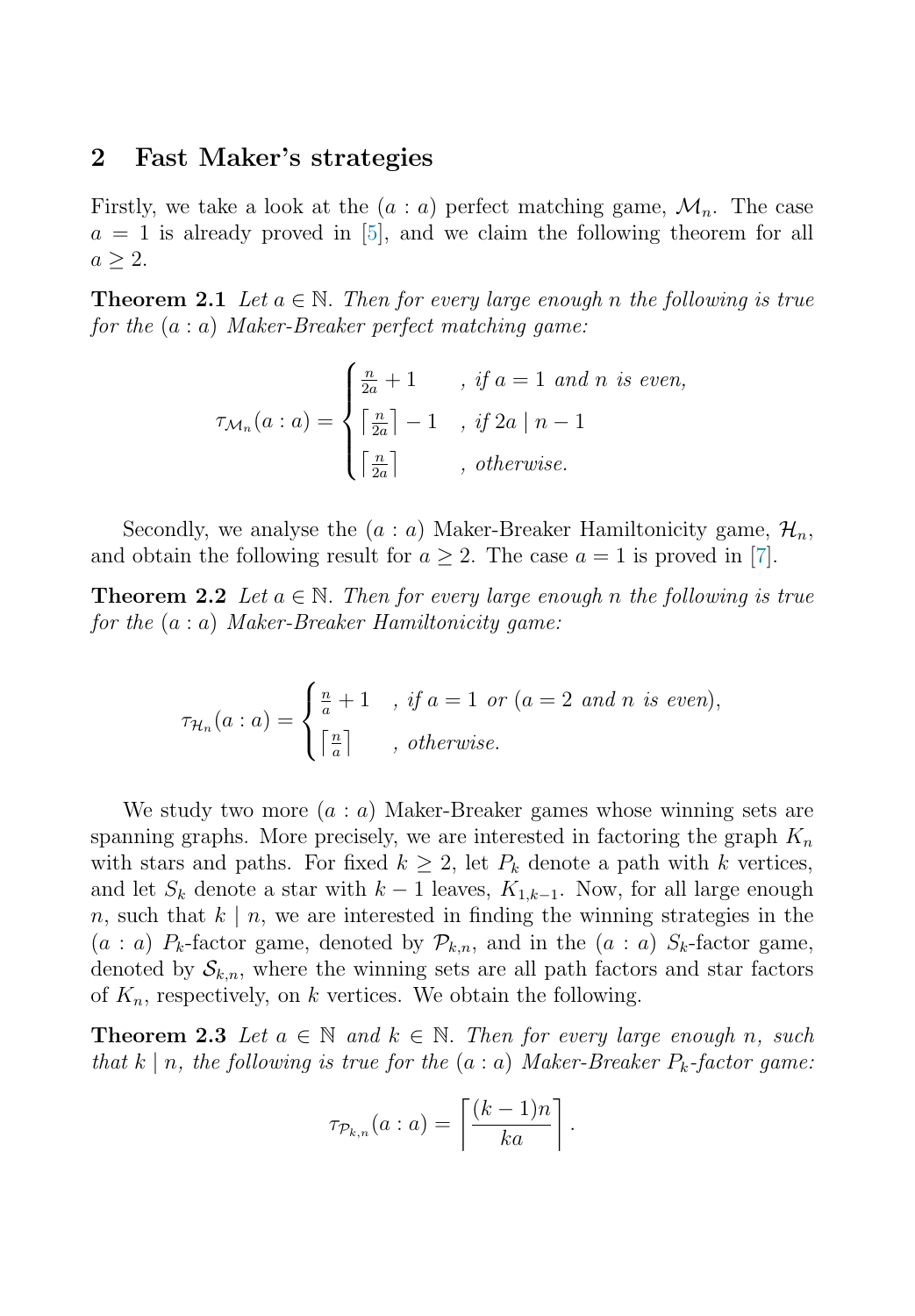### <span id="page-3-0"></span>**2 Fast Maker's strategies**

Firstly, we take a look at the  $(a : a)$  perfect matching game,  $\mathcal{M}_n$ . The case  $a = 1$  is already proved in [\[5\]](#page-5-0), and we claim the following theorem for all  $a \geq 2$ .

**Theorem 2.1** Let  $a \in \mathbb{N}$ . Then for every large enough n the following is true for the  $(a : a)$  Maker-Breaker perfect matching game:

$$
\tau_{\mathcal{M}_n}(a : a) = \begin{cases} \frac{n}{2a} + 1 & , \text{ if } a = 1 \text{ and } n \text{ is even,} \\ \left\lceil \frac{n}{2a} \right\rceil - 1 & , \text{ if } 2a \mid n - 1 \\ \left\lceil \frac{n}{2a} \right\rceil & , \text{ otherwise.} \end{cases}
$$

Secondly, we analyse the  $(a : a)$  Maker-Breaker Hamiltonicity game,  $\mathcal{H}_n$ , and obtain the following result for  $a \geq 2$ . The case  $a = 1$  is proved in [\[7\]](#page-5-0).

**Theorem 2.2** Let  $a \in \mathbb{N}$ . Then for every large enough n the following is true for the  $(a : a)$  Maker-Breaker Hamiltonicity game:

$$
\tau_{\mathcal{H}_n}(a: a) = \begin{cases} \frac{n}{a} + 1, & \text{if } a = 1 \text{ or } (a = 2 \text{ and } n \text{ is even}), \\ \lceil \frac{n}{a} \rceil, & \text{otherwise.} \end{cases}
$$

We study two more  $(a : a)$  Maker-Breaker games whose winning sets are spanning graphs. More precisely, we are interested in factoring the graph  $K_n$ with stars and paths. For fixed  $k \geq 2$ , let  $P_k$  denote a path with k vertices, and let  $S_k$  denote a star with  $k-1$  leaves,  $K_{1,k-1}$ . Now, for all large enough n, such that  $k \mid n$ , we are interested in finding the winning strategies in the  $(a : a)$   $P_k$ -factor game, denoted by  $\mathcal{P}_{k,n}$ , and in the  $(a : a)$   $S_k$ -factor game, denoted by  $S_{k,n}$ , where the winning sets are all path factors and star factors of  $K_n$ , respectively, on k vertices. We obtain the following.

**Theorem 2.3** Let  $a \in \mathbb{N}$  and  $k \in \mathbb{N}$ . Then for every large enough n, such that k | n, the following is true for the  $(a : a)$  Maker-Breaker  $P_k$ -factor game:

$$
\tau_{\mathcal{P}_{k,n}}(a : a) = \left\lceil \frac{(k-1)n}{ka} \right\rceil.
$$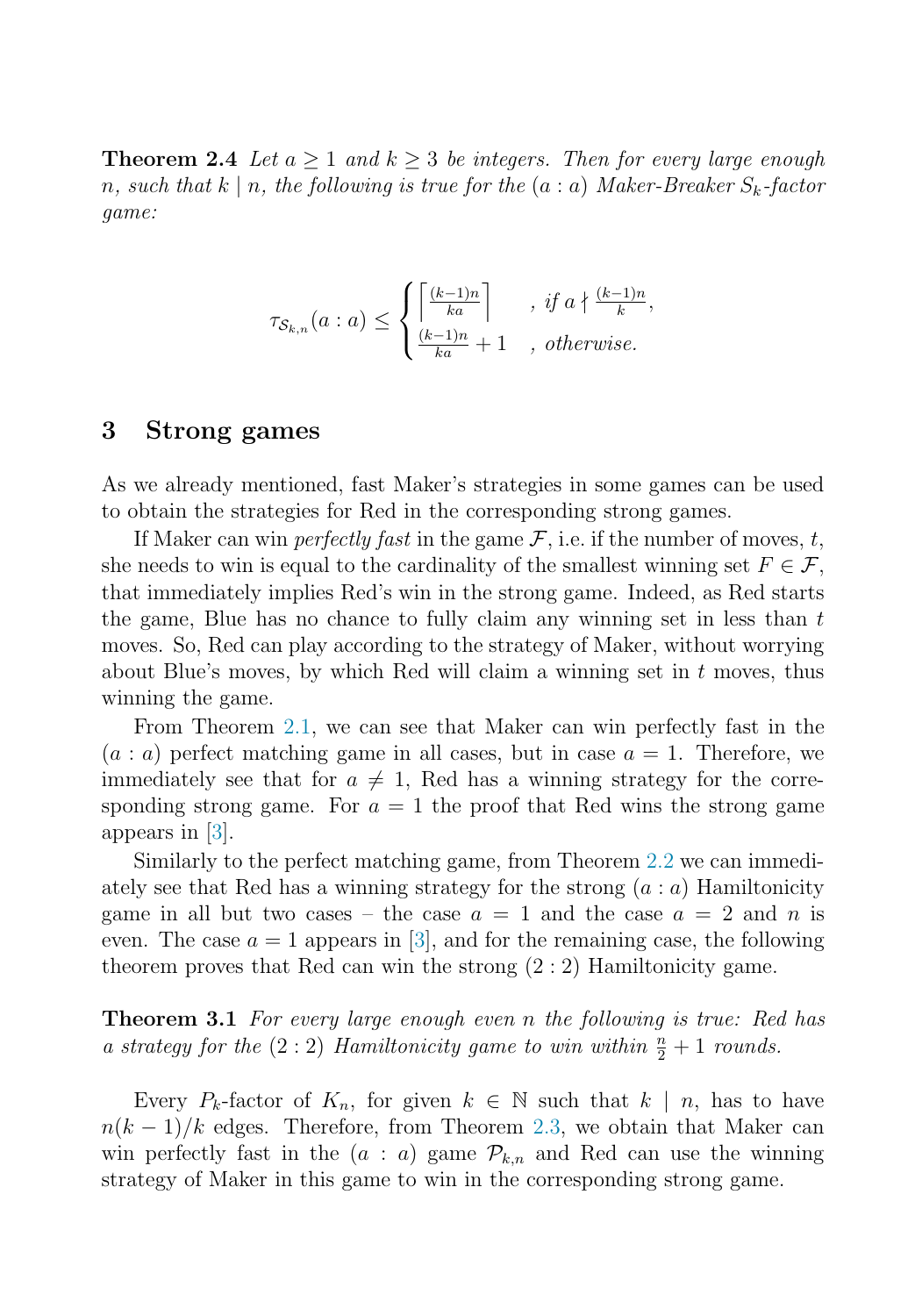**Theorem 2.4** Let  $a > 1$  and  $k > 3$  be integers. Then for every large enough n, such that  $k \mid n$ , the following is true for the  $(a : a)$  Maker-Breaker  $S_k$ -factor game:

$$
\tau_{\mathcal{S}_{k,n}}(a : a) \le \begin{cases} \left\lceil \frac{(k-1)n}{ka} \right\rceil, & \text{if } a \nmid \frac{(k-1)n}{k},\\ \frac{(k-1)n}{ka} + 1, & \text{otherwise.} \end{cases}
$$

#### **3 Strong games**

As we already mentioned, fast Maker's strategies in some games can be used to obtain the strategies for Red in the corresponding strong games.

If Maker can win *perfectly fast* in the game  $\mathcal{F}$ , i.e. if the number of moves, t, she needs to win is equal to the cardinality of the smallest winning set  $F \in \mathcal{F}$ , that immediately implies Red's win in the strong game. Indeed, as Red starts the game, Blue has no chance to fully claim any winning set in less than  $t$ moves. So, Red can play according to the strategy of Maker, without worrying about Blue's moves, by which Red will claim a winning set in  $t$  moves, thus winning the game.

From Theorem [2.1,](#page-3-0) we can see that Maker can win perfectly fast in the  $(a : a)$  perfect matching game in all cases, but in case  $a = 1$ . Therefore, we immediately see that for  $a \neq 1$ , Red has a winning strategy for the corresponding strong game. For  $a = 1$  the proof that Red wins the strong game appears in [\[3\]](#page-5-0).

Similarly to the perfect matching game, from Theorem [2.2](#page-3-0) we can immediately see that Red has a winning strategy for the strong  $(a : a)$  Hamiltonicity game in all but two cases – the case  $a = 1$  and the case  $a = 2$  and n is even. The case  $a = 1$  appears in [\[3\]](#page-5-0), and for the remaining case, the following theorem proves that Red can win the strong (2 : 2) Hamiltonicity game.

**Theorem 3.1** For every large enough even n the following is true: Red has a strategy for the  $(2:2)$  Hamiltonicity game to win within  $\frac{n}{2}+1$  rounds.

Every  $P_k$ -factor of  $K_n$ , for given  $k \in \mathbb{N}$  such that  $k \mid n$ , has to have  $n(k-1)/k$  edges. Therefore, from Theorem [2.3,](#page-3-0) we obtain that Maker can win perfectly fast in the  $(a : a)$  game  $\mathcal{P}_{k,n}$  and Red can use the winning strategy of Maker in this game to win in the corresponding strong game.